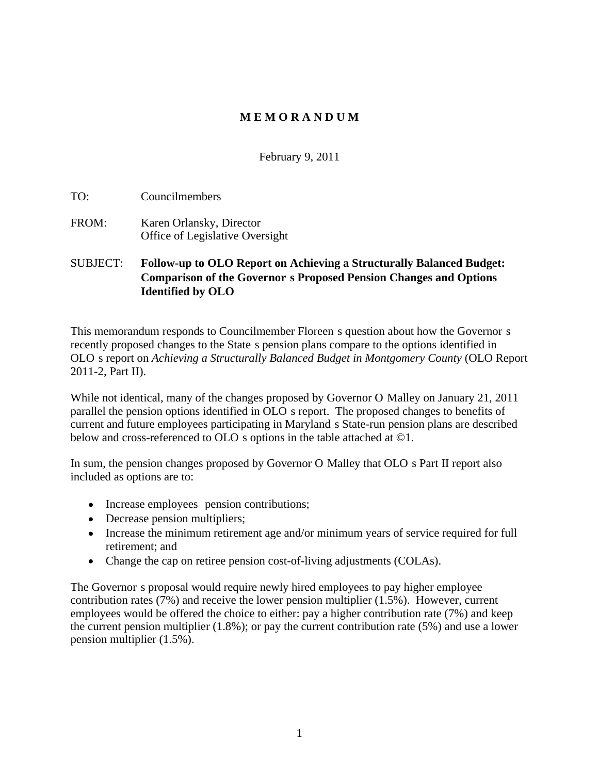## **M E M O R A N D U M**

February 9, 2011

TO: Councilmembers

FROM: Karen Orlansky, Director Office of Legislative Oversight

## SUBJECT: **Follow-up to OLO Report on Achieving a Structurally Balanced Budget: Comparison of the Governor s Proposed Pension Changes and Options Identified by OLO**

This memorandum responds to Councilmember Floreen s question about how the Governor s recently proposed changes to the State s pension plans compare to the options identified in OLO s report on *Achieving a Structurally Balanced Budget in Montgomery County* (OLO Report 2011-2, Part II).

While not identical, many of the changes proposed by Governor O Malley on January 21, 2011 parallel the pension options identified in OLO s report. The proposed changes to benefits of current and future employees participating in Maryland s State-run pension plans are described below and cross-referenced to OLO s options in the table attached at ©1.

In sum, the pension changes proposed by Governor O Malley that OLO s Part II report also included as options are to:

- Increase employees pension contributions;
- Decrease pension multipliers;
- Increase the minimum retirement age and/or minimum years of service required for full retirement; and
- Change the cap on retiree pension cost-of-living adjustments (COLAs).

The Governor s proposal would require newly hired employees to pay higher employee contribution rates  $(7%)$  and receive the lower pension multiplier  $(1.5%)$ . However, current employees would be offered the choice to either: pay a higher contribution rate (7%) and keep the current pension multiplier (1.8%); or pay the current contribution rate (5%) and use a lower pension multiplier (1.5%).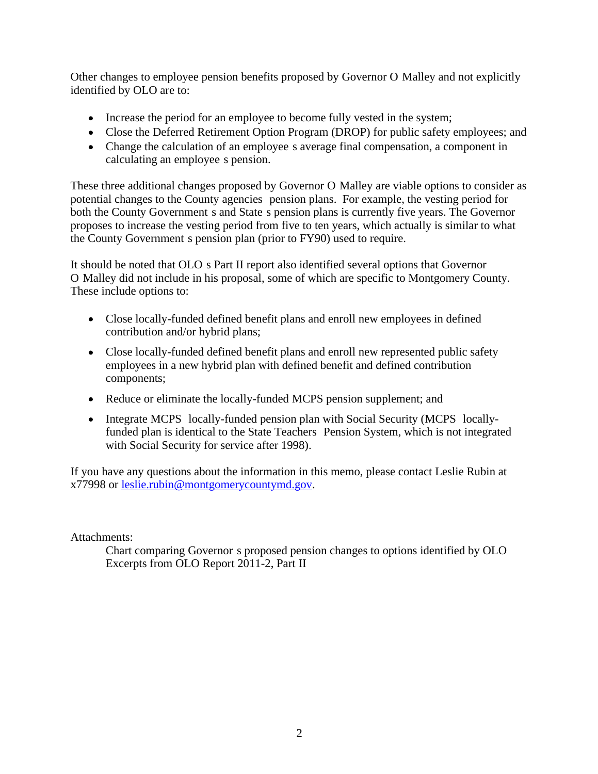Other changes to employee pension benefits proposed by Governor O Malley and not explicitly identified by OLO are to:

- Increase the period for an employee to become fully vested in the system;
- Close the Deferred Retirement Option Program (DROP) for public safety employees; and
- Change the calculation of an employee s average final compensation, a component in calculating an employee s pension.

These three additional changes proposed by Governor O Malley are viable options to consider as potential changes to the County agencies pension plans. For example, the vesting period for both the County Government s and State s pension plans is currently five years. The Governor proposes to increase the vesting period from five to ten years, which actually is similar to what the County Government s pension plan (prior to FY90) used to require.

It should be noted that OLO s Part II report also identified several options that Governor O Malley did not include in his proposal, some of which are specific to Montgomery County. These include options to:

- Close locally-funded defined benefit plans and enroll new employees in defined contribution and/or hybrid plans;
- Close locally-funded defined benefit plans and enroll new represented public safety employees in a new hybrid plan with defined benefit and defined contribution components;
- Reduce or eliminate the locally-funded MCPS pension supplement; and
- Integrate MCPS locally-funded pension plan with Social Security (MCPS locallyfunded plan is identical to the State Teachers Pension System, which is not integrated with Social Security for service after 1998).

If you have any questions about the information in this memo, please contact Leslie Rubin at x77998 or leslie.rubin@montgomerycountymd.gov.

Attachments:

Chart comparing Governor s proposed pension changes to options identified by OLO Excerpts from OLO Report 2011-2, Part II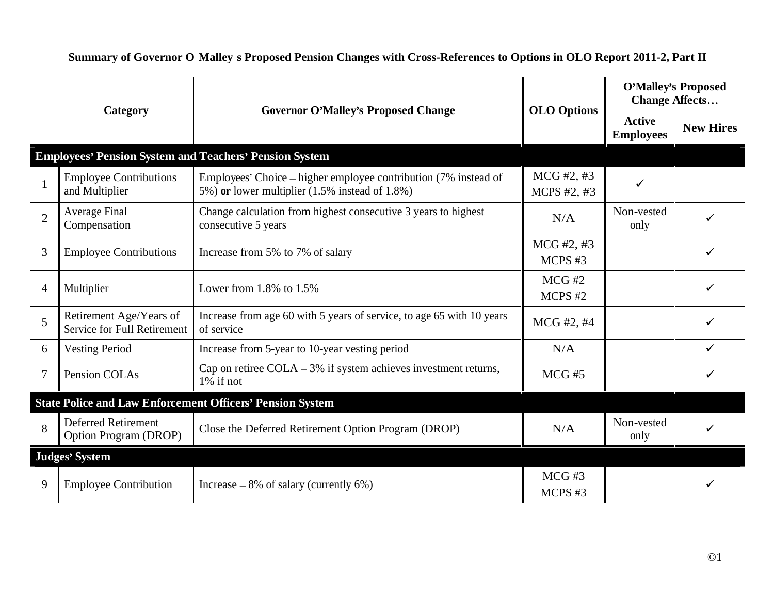|                                                                   | <b>Governor O'Malley's Proposed Change</b>                                                                        | <b>OLO Options</b>        | <b>O'Malley's Proposed</b><br><b>Change Affects</b> |                  |
|-------------------------------------------------------------------|-------------------------------------------------------------------------------------------------------------------|---------------------------|-----------------------------------------------------|------------------|
| Category                                                          |                                                                                                                   |                           | Active<br><b>Employees</b>                          | <b>New Hires</b> |
|                                                                   | <b>Employees' Pension System and Teachers' Pension System</b>                                                     |                           |                                                     |                  |
| <b>Employee Contributions</b><br>and Multiplier                   | Employees' Choice - higher employee contribution (7% instead of<br>5%) or lower multiplier (1.5% instead of 1.8%) | MCG #2, #3<br>MCPS #2, #3 |                                                     |                  |
| Average Final<br>Compensation                                     | Change calculation from highest consecutive 3 years to highest<br>consecutive 5 years                             | N/A                       | Non-vested<br>only                                  |                  |
| <b>B</b> Employee Contributions                                   | Increase from 5% to 7% of salary                                                                                  | MCG #2, #3<br>MCPS#3      |                                                     |                  |
| 4 Multiplier                                                      | Lower from $1.8\%$ to $1.5\%$                                                                                     | $MCG \#2$<br>MCPS #2      |                                                     |                  |
| Retirement Age/Years of<br>Service for Full Retirement of service | Increase from age 60 with 5 years of service, to age 65 with 10 years                                             | MCG #2, #4                |                                                     |                  |
| 5 Vesting Period                                                  | Increase from 5-year to 10-year vesting period                                                                    | N/A                       |                                                     |                  |
| Pension COLAs                                                     | Cap on retiree COLA $-3\%$ if system achieves investment returns,<br>$1\%$ if not                                 | $MCG \#5$                 |                                                     |                  |
|                                                                   | <b>State Police and Law Enforcement Officers' Pension System</b>                                                  |                           |                                                     |                  |
| <b>Deferred Retirement</b><br><b>Option Program (DROP)</b>        | Close the Deferred Retirement Option Program (DROP)                                                               | N/A                       | Non-vested<br>only                                  |                  |
| Judges' System                                                    |                                                                                                                   |                           |                                                     |                  |
| 9   Employee Contribution                                         | Increase $-8\%$ of salary (currently 6%)                                                                          | $MCG \#3$<br>MCPS #3      |                                                     |                  |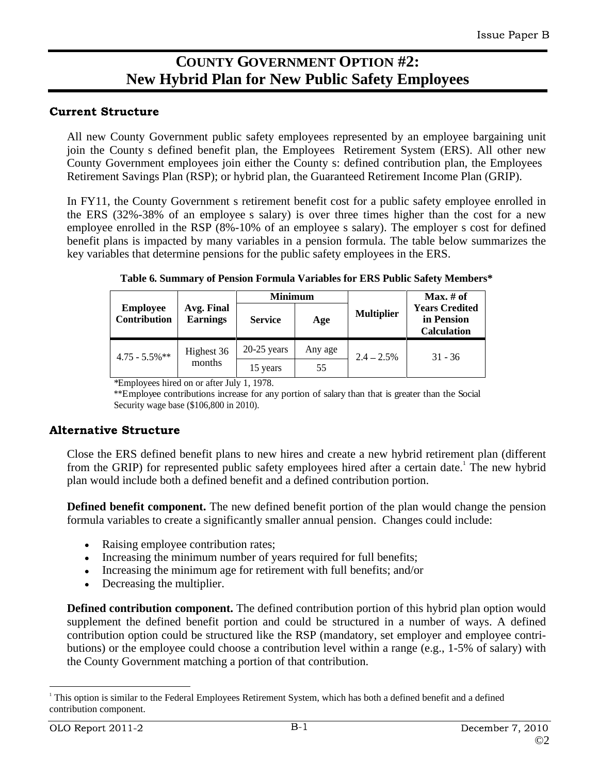# **COUNTY GOVERNMENT OPTION #2: New Hybrid Plan for New Public Safety Employees**

## **Current Structure**

All new County Government public safety employees represented by an employee bargaining unit join the County s defined benefit plan, the Employees Retirement System (ERS). All other new County Government employees join either the County s: defined contribution plan, the Employees Retirement Savings Plan (RSP); or hybrid plan, the Guaranteed Retirement Income Plan (GRIP).

In FY11, the County Government s retirement benefit cost for a public safety employee enrolled in the ERS (32%-38% of an employee s salary) is over three times higher than the cost for a new employee enrolled in the RSP (8%-10% of an employee s salary). The employer s cost for defined benefit plans is impacted by many variables in a pension formula. The table below summarizes the key variables that determine pensions for the public safety employees in the ERS.

|                                              |                                          | Minimu                        |               |                   | <b>Max.</b> # of                     |
|----------------------------------------------|------------------------------------------|-------------------------------|---------------|-------------------|--------------------------------------|
| Employee Avg. Final<br>Contribution Earnings |                                          |                               |               |                   | <b>Years Credited<br/>in Pension</b> |
|                                              |                                          | Service                       | $A$ <i>ge</i> | <b>Multiplier</b> |                                      |
|                                              |                                          |                               |               |                   | Calculation                          |
|                                              |                                          | $20.25$ verges $\blacksquare$ | Any age       |                   |                                      |
| $4.75 - 5.5\%$ **                            | $\ldots$ mignest 36 $\sim$ $20-23$ years |                               |               | $2.4 - 2.5\%$     | $31 - 36$                            |
|                                              | months                                   | 15 years                      |               |                   |                                      |
|                                              | $C = T + 1 + 1070$                       |                               |               |                   |                                      |

**Table 6. Summary of Pension Formula Variables for ERS Public Safety Members\***

\*Employees hired on or after July 1, 1978.

\*\*Employee contributions increase for any portion of salary than that is greater than the Social Security wage base (\$106,800 in 2010).

## **Alternative Structure**

Close the ERS defined benefit plans to new hires and create a new hybrid retirement plan (different from the GRIP) for represented public safety employees hired after a certain date.<sup>1</sup> The new hybrid plan would include both a defined benefit and a defined contribution portion.

**Defined benefit component.** The new defined benefit portion of the plan would change the pension formula variables to create a significantly smallerannual pension. Changes could include:

- Raising employee contribution rates;
- Increasing the minimum number of years required for full benefits;
- Increasing the minimum age for retirement with full benefits; and/or
- Decreasing the multiplier.

**Defined contribution component.** The defined contribution portion of this hybrid plan option would supplement the defined benefit portion and could be structured in a number of ways. A defined contribution option could be structured like the RSP (mandatory, set employer and employee contri butions) or the employee could choose a contribution level within a range (e.g., 1-5% of salary) with the County Government matching a portion of that contribution.

<sup>1</sup> This option is similar to the Federal Employees Retirement System, which has both a defined benefit and a defined contribution component.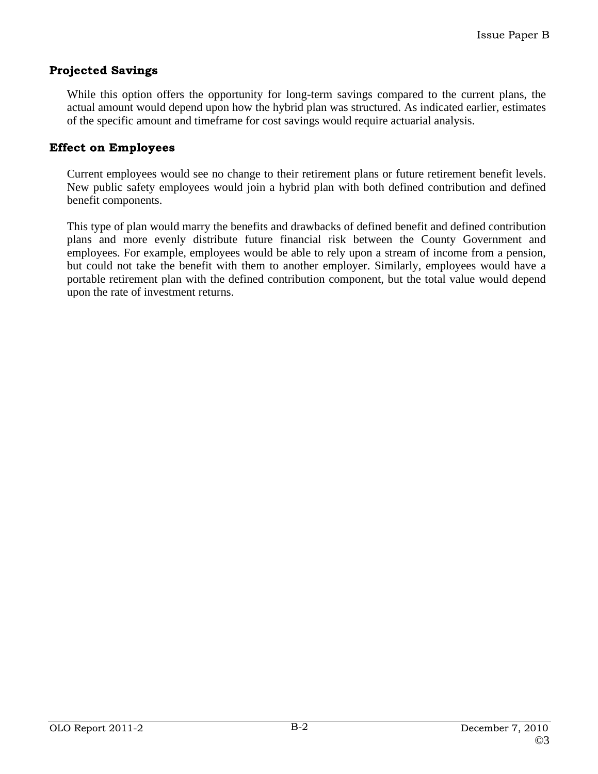## **Projected Savings**

While this option offers the opportunity for long-term savings compared to the current plans, the actual amount would depend upon how the hybrid plan was structured. As indicated earlier, estimates of the specific amount and timeframe for cost savings would require actuarial analysis.

#### **Effect on Employees**

Current employees would see no change to their retirement plans or future retirement benefit levels. New public safety employees would join a hybrid plan with both defined contribution and defined benefit components.

This type of plan would marry the benefits and drawbacks of defined benefit and defined contribution plans and more evenly distribute future financial risk between the County Government and employees. For example, employees would be able to rely upon a stream of income from a pension, but could not take the benefit with them to another employer. Similarly, employees would have a portable retirement plan with the defined contribution component, but the total value would depend upon the rate of investment returns.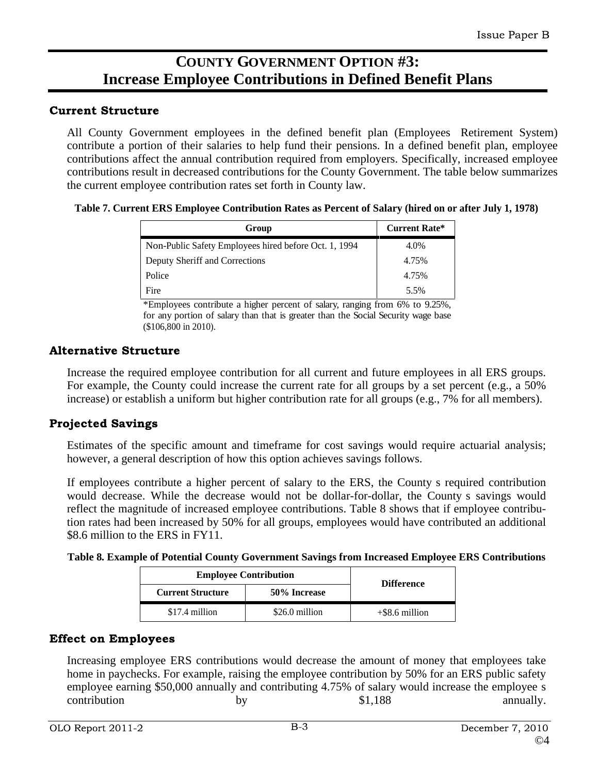# **COUNTY GOVERNMENT OPTION #3: Increase Employee Contributions in Defined Benefit Plans**

## **Current Structure**

All County Government employees in the defined benefit plan (Employees Retirement System) contribute a portion of their salaries to help fund their pensions. In a defined benefit plan, employee contributions affect the annual contribution required from employers. Specifically, increased employee contributions result in decreased contributions for the County Government. The table below summarizes the current employee contribution rates set forth in County law.

#### **Table 7. Current ERS Employee Contribution Rates as Percent of Salary (hired on or after July 1, 1978)**

|                                                       | Current Rate* |
|-------------------------------------------------------|---------------|
| Non-Public Safety Employees hired before Oct. 1, 1994 | 4.0%          |
| Deputy Sheriff and Corrections                        | 4.75%         |
| Police                                                | 4.75%         |
| $1 \cdot \text{H} \cdot \text{C}$                     | 5.5%          |

\*Employees contribute a higher percent of salary, ranging from 6% to 9.25%, for any portion of salary than that is greater than the Social Security wage base (\$106,800 in 2010).

## **Alternative Structure**

Increase the required employee contribution for all currentand future employees in all ERS groups. For example, the County could increase the current rate for all groups by a set percent (e.g., a 50% increase) or establish a uniform but higher contribution rate for all groups (e.g., 7% for all members).

## **Projected Savings**

Estimates of the specific amount and timeframe for cost savings would require actuarial analysis; however, a general description of how this option achieves savings follows.

If employees contribute a higher percent of salary to the ERS, the County s required contribution would decrease. While the decrease would not be dollar-for-dollar, the County s savings would reflect the magnitude of increased employee contributions. Table 8 shows that if employee contribution rates had been increased by 50% for all groups, employees would have contributed an additional \$8.6 million to the ERS in FY11.

| Table 8. Example of Potential County Government Savings from Increased Employee ERS Contributions |  |
|---------------------------------------------------------------------------------------------------|--|
|                                                                                                   |  |

| <b>Employee Contribution</b> |                | <b>Difference</b> |  |
|------------------------------|----------------|-------------------|--|
| <b>Current Structure</b>     | 50% Increase   |                   |  |
| \$17.4 million               | \$26.0 million | +\$8.6 million    |  |

## **Effect on Employees**

Increasing employee ERS contributions would decrease the amount of money that employees take home in paychecks. For example, raising the employee contribution by 50% for an ERS public safety employee earning \$50,000 annually and contributing 4.75% of salary would increase the employee s contribution by by \$1,188 annually.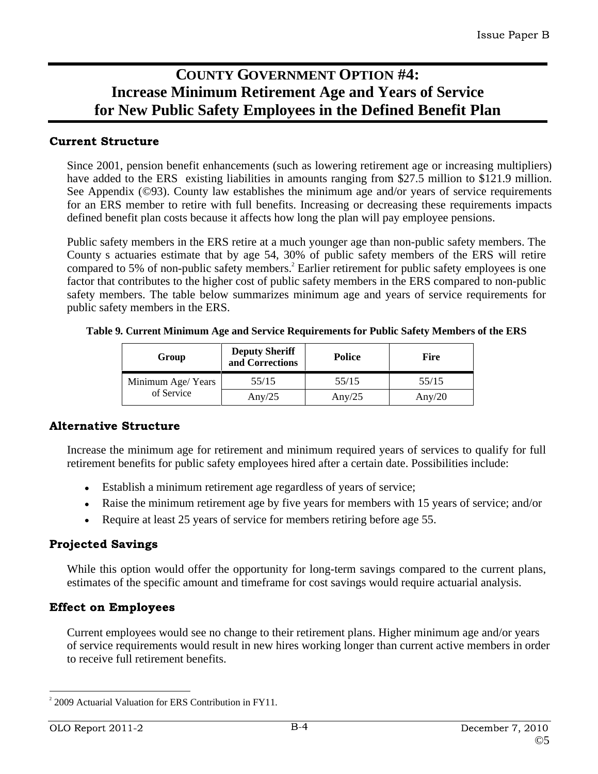# **COUNTY GOVERNMENT OPTION #4: Increase Minimum Retirement Age and Years of Service for New Public Safety Employees in the Defined Benefit Plan**

## **Current Structure**

Since 2001, pension benefit enhancements (such as lowering retirement age or increasing multipliers) have added to the ERS existing liabilities in amounts ranging from \$27.5 million to \$121.9 million. See Appendix (©93). County law establishes the minimum age and/or years of service requirements for an ERS member to retire with full benefits. Increasing or decreasing these requirements impacts defined benefit plan costs because it affects how long the plan will pay employee pensions.

Public safety members in the ERS retire at a much younger age than non-public safety members. The County s actuaries estimate that by age 54, 30% of public safety members of the ERS will retire compared to 5% of non-public safety members.<sup>2</sup> Earlier retirement for public safety employees is one factor that contributes to the higher cost of public safety members in the ERS compared to non-public safety members. The table below summarizes minimum age and years of service requirements for public safety members in the ERS.

| Group              | <b>Deputy Sherift</b><br>Police<br>and Corrections                         | $ -$<br>Fire |
|--------------------|----------------------------------------------------------------------------|--------------|
|                    |                                                                            |              |
| Minimum Age/ Years | 55/15<br>$F = 11.5$<br>$55/15$<br>$J$ <i>J</i> / <b>i</b> $\sim$<br>JJ/ 1J | 55/15        |
| of Service         | $\sim$ $\sim$<br>Any/25<br>Any/25                                          | Any/20       |

**Table 9. Current Minimum Age and Service Requirements for Public Safety Members of the ERS**

## **Alternative Structure**

Increase the minimum age for retirement and minimum required years of services to qualify for full retirement benefits for public safety employees hired after a certain date. Possibilities include:

- Establish a minimum retirement age regardless of years of service;
- Raise the minimum retirement age by five years for members with 15 years of service; and/or
- Require at least 25 years of service for members retiring before age 55.

## **Projected Savings**

While this option would offer the opportunity for long-term savings compared to the current plans, estimates of the specific amount and timeframe for cost savings would require actuarial analysis.

## **Effect on Employees**

Current employees would see no change to their retirement plans. Higher minimum age and/or years of service requirements would result in new hires working longer than current active members in order to receive full retirement benefits.

<sup>&</sup>lt;sup>2</sup> 2009 Actuarial Valuation for ERS Contribution in FY11.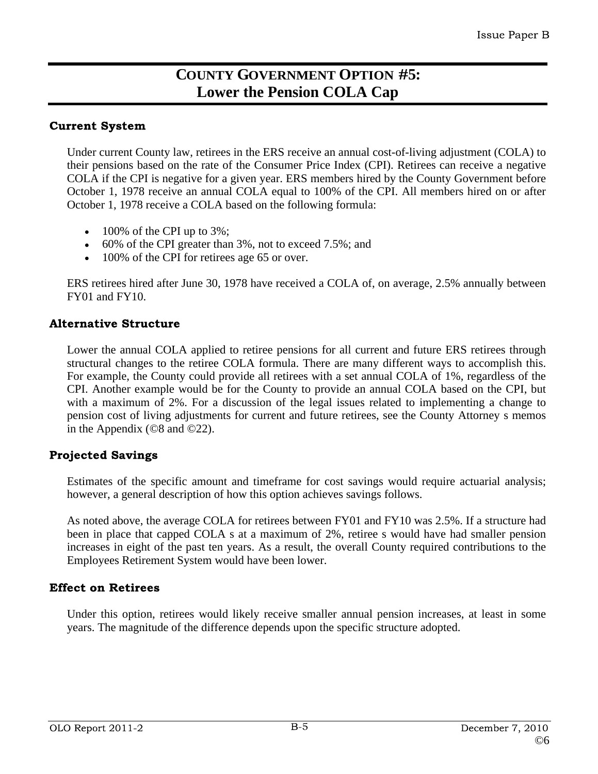## **COUNTY GOVERNMENT OPTION #5: Lower the Pension COLA Cap**

## **Current System**

Under current County law, retirees in the ERS receive an annual cost-of-living adjustment (COLA) to their pensions based on the rate of the Consumer Price Index (CPI). Retirees can receive a negative COLA if the CPI is negative for a given year. ERS members hired by the County Government before October 1, 1978 receive an annual COLA equal to 100% of the CPI. All members hired on or after October 1, 1978 receive a COLA based on the following formula:

- $\bullet$  100% of the CPI up to 3%;
- $\bullet$  60% of the CPI greater than 3%, not to exceed 7.5%; and
- 100% of the CPI for retirees age 65 or over.

ERS retirees hired after June 30, 1978 have received a COLA of, on average, 2.5% annually between FY01 and FY10.

## **Alternative Structure**

Lower the annual COLA applied to retiree pensions for all current and future ERS retirees through structural changes to the retiree COLA formula. There are many different ways to accomplish this. For example, the County could provide all retirees with a set annual COLA of 1%, regardless of the CPI. Another example would be for the County to provide an annual COLA based on the CPI, but with a maximum of 2%. For a discussion of the legal issues related to implementing a change to pension cost of living adjustments for current and future retirees, see the County Attorney s memos in the Appendix (©8 and ©22).

## **Projected Savings**

Estimates of the specific amount and timeframe for cost savings would require actuarial analysis; however, a general description of how this option achieves savings follows.

As noted above, the average COLA for retirees between FY01 and FY10 was 2.5%. If a structure had been in place that capped COLA s at a maximum of 2%, retiree s would have had smaller pension increases in eight of the past ten years. As a result, the overall County required contributions to the Employees Retirement System would have been lower.

## **Effect on Retirees**

Under this option, retirees would likely receive smaller annual pension increases, at least in some years. The magnitude of the difference depends upon the specific structure adopted.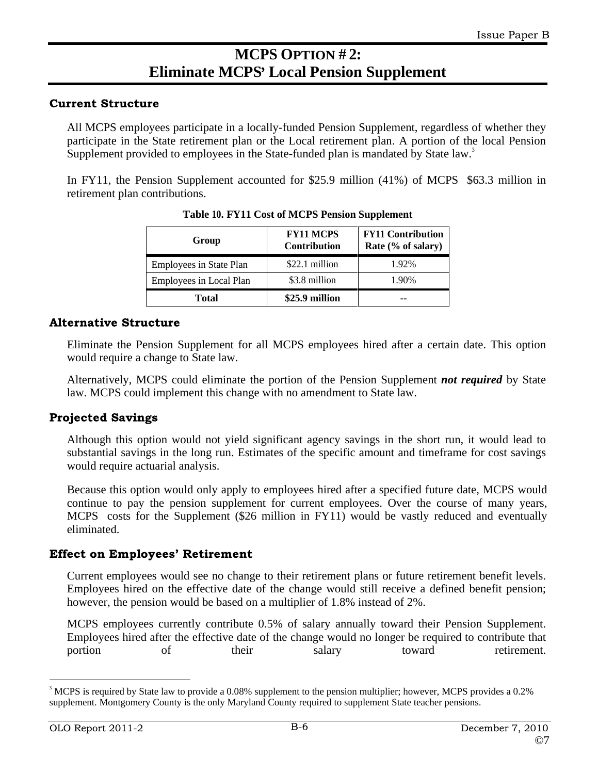# **MCPS OPTION # 2: Eliminate MCPS Local Pension Supplement**

## **Current Structure**

All MCPS employees participate in a locally-funded Pension Supplement, regardless of whether they participate in the State retirement plan or the Local retirement plan. A portion of the local Pension Supplement provided to employees in the State-funded plan is mandated by State law.<sup>3</sup>

In FY11, the Pension Supplement accounted for \$25.9 million  $(41\%)$  of MCPS \$63.3 million in retirement plan contributions.

| Group                   | <b>FY11 MCPS</b> | <b>FY11 Contribution</b><br><b>Contribution</b>   Rate $%$ of salary) |
|-------------------------|------------------|-----------------------------------------------------------------------|
| Employees in State Plan | \$22.1 million   | 1.92%                                                                 |
| Employees in Local Plan | \$3.8 million    | 1.90%                                                                 |
| <b>Total</b>            | \$25.9 million   |                                                                       |

**Table 10. FY11 Cost of MCPS Pension Supplement**

## **Alternative Structure**

Eliminate the Pension Supplement for all MCPS employees hired aftera certain date. This option would require a change to State law.

Alternatively, MCPS could eliminate the portion of the Pension Supplement *not required* by State

law. MCPS could implement this change with no amendment to State law.<br>Diected Savings<br>Although this option would not yield significant agency savings in the short run, it would lead to substantial savings in the long run. Estimates of the specific amount and timeframe for cost savings would require actuarial analysis.

Because this option would only apply to employees hired after a specified future date, MCPS would continue to pay the pension supplement for current employees. Over the course of many years, MCPS costs for the Supplement (\$26 million in FY11) would be vastly reduced and eventually eliminated.

## **Effect on Employees' Retirement**

Current employees would see no change to their retirement plans or future retirement benefit levels. Employees hired on the effective date of the change would still receive a defined benefit pension; however, the pension would be based on a multiplier of 1.8% instead of 2%.

MCPS employees currently contribute 0.5% of salary annually toward their Pension Supplement. Employees hired after the effective date of the change would no longer be required to contribute that portion of their salary toward retirement.

<sup>&</sup>lt;sup>3</sup> MCPS is required by State law to provide a 0.08% supplement to the pension multiplier; however, MCPS provides a 0.2% supplement. Montgomery County is the only Maryland County required to supplement State teacher pensions.